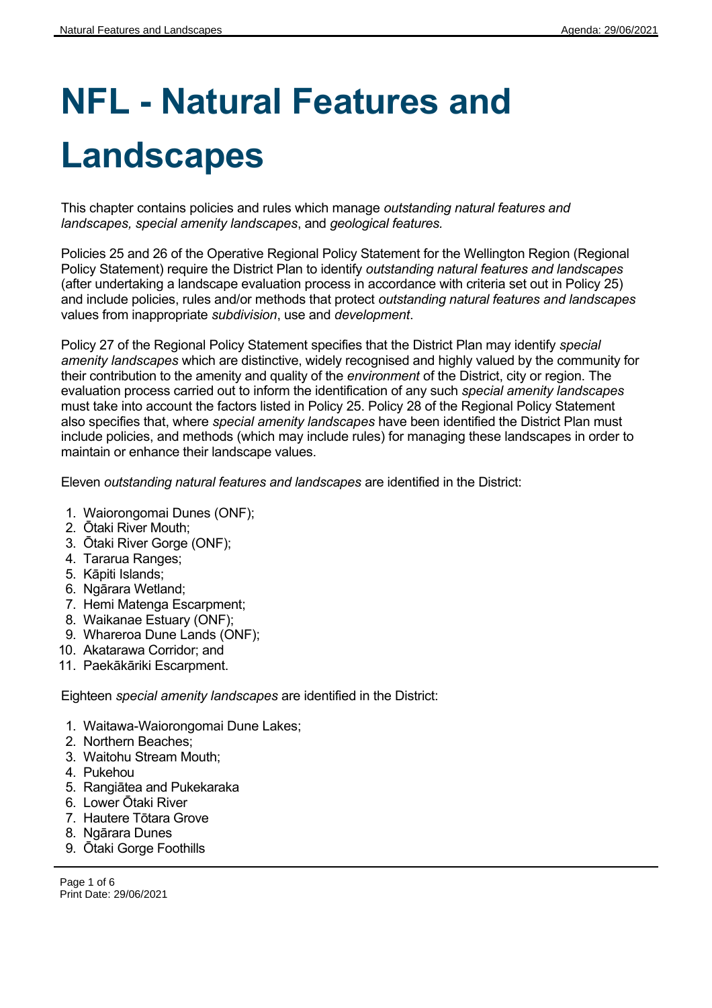# **NFL - Natural Features and Landscapes**

This chapter contains policies and rules which manage *outstanding natural features and landscapes, special amenity landscapes*, and *geological features.*

Policies 25 and 26 of the Operative Regional Policy Statement for the Wellington Region (Regional Policy Statement) require the District Plan to identify *outstanding natural features and landscapes* (after undertaking a landscape evaluation process in accordance with criteria set out in Policy 25) and include policies, rules and/or methods that protect *outstanding natural features and landscapes* values from inappropriate *subdivision*, use and *development*.

Policy 27 of the Regional Policy Statement specifies that the District Plan may identify *special amenity landscapes* which are distinctive, widely recognised and highly valued by the community for their contribution to the amenity and quality of the *environment* of the District, city or region. The evaluation process carried out to inform the identification of any such *special amenity landscapes* must take into account the factors listed in Policy 25. Policy 28 of the Regional Policy Statement also specifies that, where *special amenity landscapes* have been identified the District Plan must include policies, and methods (which may include rules) for managing these landscapes in order to maintain or enhance their landscape values.

Eleven *outstanding natural features and landscapes* are identified in the District:

- 1. Waiorongomai Dunes (ONF);
- 2. Ōtaki River Mouth;
- 3. Ōtaki River Gorge (ONF);
- 4. Tararua Ranges;
- 5. Kāpiti Islands;
- 6. Ngārara Wetland;
- 7. Hemi Matenga Escarpment;
- 8. Waikanae Estuary (ONF);
- 9. Whareroa Dune Lands (ONF);
- 10. Akatarawa Corridor; and
- 11. Paekākāriki Escarpment.

Eighteen *special amenity landscapes* are identified in the District:

- 1. Waitawa-Waiorongomai Dune Lakes;
- 2. Northern Beaches;
- 3. Waitohu Stream Mouth;
- 4. Pukehou
- 5. Rangiātea and Pukekaraka
- 6. Lower Ōtaki River
- 7. Hautere Tōtara Grove
- 8. Ngārara Dunes
- 9. Ōtaki Gorge Foothills

Page 1 of 6 Print Date: 29/06/2021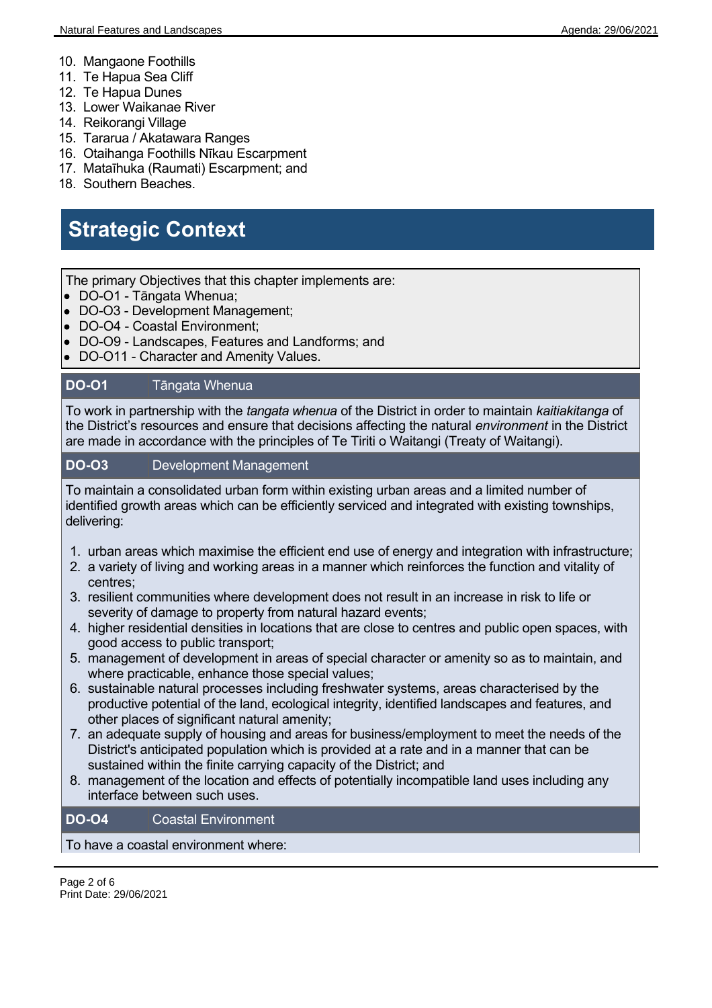- 10. Mangaone Foothills
- 11. Te Hapua Sea Cliff
- 12. Te Hapua Dunes
- 13. Lower Waikanae River
- 14. Reikorangi Village
- 15. Tararua / Akatawara Ranges
- 16. Otaihanga Foothills Nīkau Escarpment
- 17. Mataīhuka (Raumati) Escarpment; and
- 18. Southern Beaches.

## **Strategic Context**

The primary Objectives that this chapter implements are:

- DO-O1 Tāngata Whenua;
- DO-O3 Development Management;
- DO-O4 Coastal Environment;
- DO-O9 Landscapes, Features and Landforms; and
- DO-O11 Character and Amenity Values.

### **DO-O1** Tāngata Whenua

To work in partnership with the *tangata whenua* of the District in order to maintain *kaitiakitanga* of the District's resources and ensure that decisions affecting the natural *environment* in the District are made in accordance with the principles of Te Tiriti o Waitangi (Treaty of Waitangi).

#### **DO-O3** Development Management

To maintain a consolidated urban form within existing urban areas and a limited number of identified growth areas which can be efficiently serviced and integrated with existing townships, delivering:

- 1. urban areas which maximise the efficient end use of energy and integration with infrastructure;
- 2. a variety of living and working areas in a manner which reinforces the function and vitality of centres;
- 3. resilient communities where development does not result in an increase in risk to life or severity of damage to property from natural hazard events;
- 4. higher residential densities in locations that are close to centres and public open spaces, with good access to public transport;
- 5. management of development in areas of special character or amenity so as to maintain, and where practicable, enhance those special values;
- 6. sustainable natural processes including freshwater systems, areas characterised by the productive potential of the land, ecological integrity, identified landscapes and features, and other places of significant natural amenity;
- 7. an adequate supply of housing and areas for business/employment to meet the needs of the District's anticipated population which is provided at a rate and in a manner that can be sustained within the finite carrying capacity of the District; and
- 8. management of the location and effects of potentially incompatible land uses including any interface between such uses.

#### **DO-O4** Coastal Environment

To have a coastal environment where: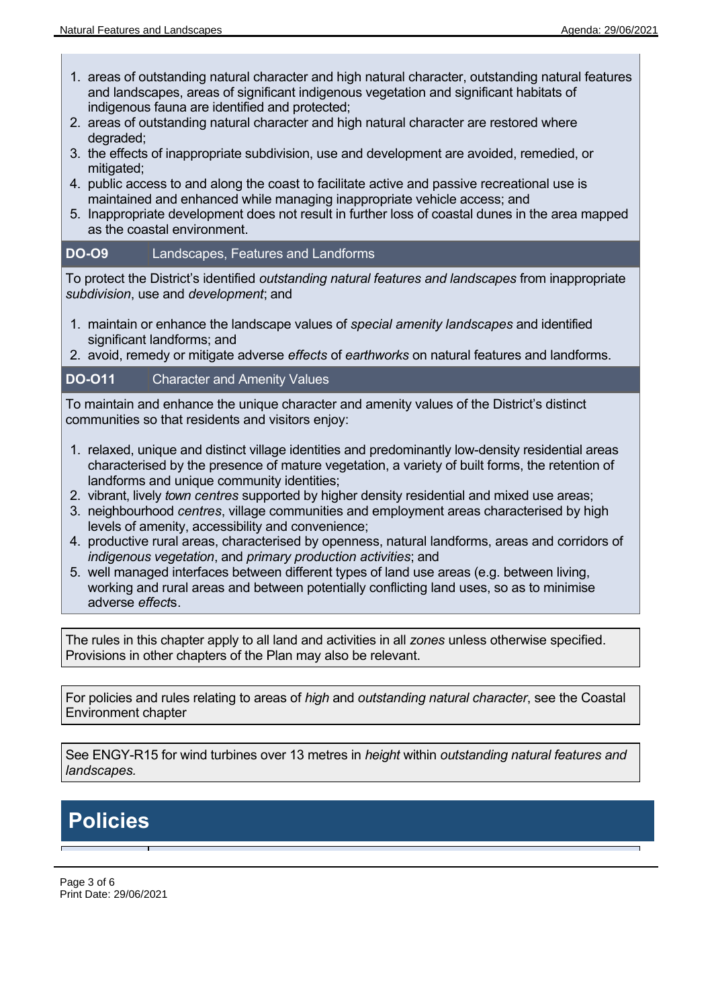$\blacksquare$ 

- 1. areas of outstanding natural character and high natural character, outstanding natural features and landscapes, areas of significant indigenous vegetation and significant habitats of indigenous fauna are identified and protected;
- 2. areas of outstanding natural character and high natural character are restored where degraded;
- 3. the effects of inappropriate subdivision, use and development are avoided, remedied, or mitigated:
- 4. public access to and along the coast to facilitate active and passive recreational use is maintained and enhanced while managing inappropriate vehicle access; and
- 5. Inappropriate development does not result in further loss of coastal dunes in the area mapped as the coastal environment.

#### **DO-O9** Landscapes, Features and Landforms

To protect the District's identified *outstanding natural features and landscapes* from inappropriate *subdivision*, use and *development*; and

- 1. maintain or enhance the landscape values of *special amenity landscapes* and identified significant landforms; and
- 2. avoid, remedy or mitigate adverse *effects* of *earthworks* on natural features and landforms.

#### **DO-O11** Character and Amenity Values

To maintain and enhance the unique character and amenity values of the District's distinct communities so that residents and visitors enjoy:

- 1. relaxed, unique and distinct village identities and predominantly low-density residential areas characterised by the presence of mature vegetation, a variety of built forms, the retention of landforms and unique community identities;
- 2. vibrant, lively *town centres* supported by higher density residential and mixed use areas;
- 3. neighbourhood *centres*, village communities and employment areas characterised by high levels of amenity, accessibility and convenience;
- 4. productive rural areas, characterised by openness, natural landforms, areas and corridors of *indigenous vegetation*, and *primary production activities*; and
- 5. well managed interfaces between different types of land use areas (e.g. between living, working and rural areas and between potentially conflicting land uses, so as to minimise adverse *effect*s.

The rules in this chapter apply to all land and activities in all *zones* unless otherwise specified. Provisions in other chapters of the Plan may also be relevant.

For policies and rules relating to areas of *high* and *outstanding natural character*, see the Coastal Environment chapter

See ENGY-R15 for wind turbines over 13 metres in *height* within *outstanding natural features and landscapes.*

## **Policies**

Page 3 of 6 Print Date: 29/06/2021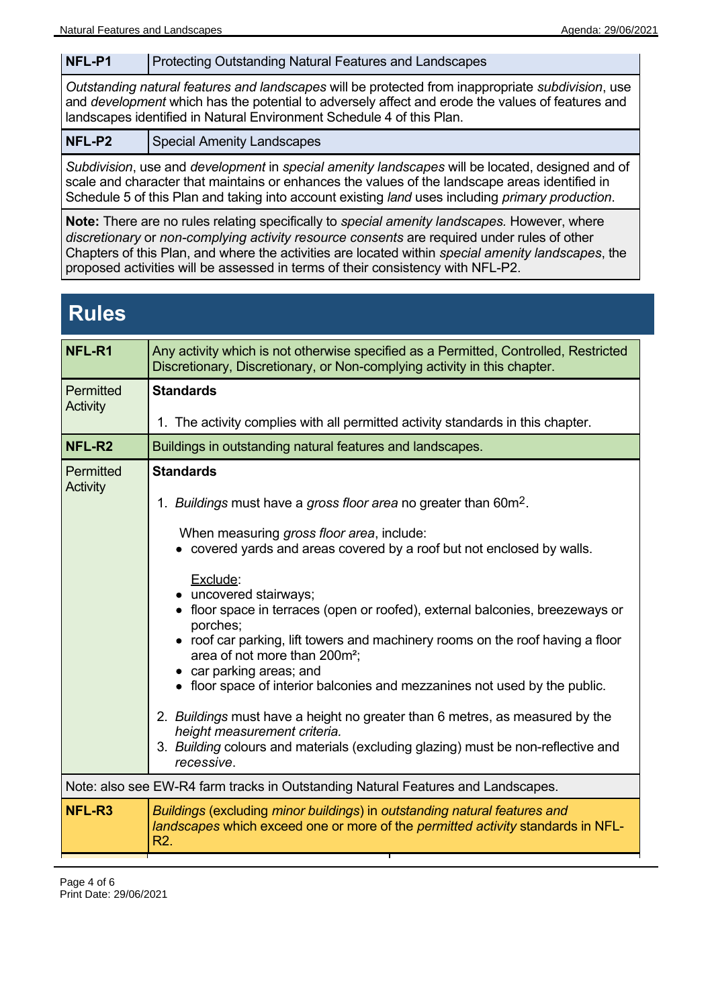#### **NFL-P1** Protecting Outstanding Natural Features and Landscapes

*Outstanding natural features and landscapes* will be protected from inappropriate *subdivision*, use and *development* which has the potential to adversely affect and erode the values of features and landscapes identified in Natural Environment Schedule 4 of this Plan.

**NFL-P2** | Special Amenity Landscapes

*Subdivision*, use and *development* in *special amenity landscapes* will be located, designed and of scale and character that maintains or enhances the values of the landscape areas identified in Schedule 5 of this Plan and taking into account existing *land* uses including *primary production*.

**Note:** There are no rules relating specifically to *special amenity landscapes.* However, where *discretionary* or *non-complying activity resource consents* are required under rules of other Chapters of this Plan, and where the activities are located within *special amenity landscapes*, the proposed activities will be assessed in terms of their consistency with NFL-P2.

## **Rules**

| NFL-R1                                                                           | Any activity which is not otherwise specified as a Permitted, Controlled, Restricted<br>Discretionary, Discretionary, or Non-complying activity in this chapter.                                                                                                                                                                                                                                                                                                                                                                                                                                                                                                                                                    |  |
|----------------------------------------------------------------------------------|---------------------------------------------------------------------------------------------------------------------------------------------------------------------------------------------------------------------------------------------------------------------------------------------------------------------------------------------------------------------------------------------------------------------------------------------------------------------------------------------------------------------------------------------------------------------------------------------------------------------------------------------------------------------------------------------------------------------|--|
| <b>Permitted</b><br><b>Activity</b>                                              | <b>Standards</b>                                                                                                                                                                                                                                                                                                                                                                                                                                                                                                                                                                                                                                                                                                    |  |
|                                                                                  | 1. The activity complies with all permitted activity standards in this chapter.                                                                                                                                                                                                                                                                                                                                                                                                                                                                                                                                                                                                                                     |  |
| NFL-R2                                                                           | Buildings in outstanding natural features and landscapes.                                                                                                                                                                                                                                                                                                                                                                                                                                                                                                                                                                                                                                                           |  |
| Permitted<br>Activity                                                            | <b>Standards</b><br>1. Buildings must have a gross floor area no greater than 60m <sup>2</sup> .<br>When measuring gross floor area, include:<br>• covered yards and areas covered by a roof but not enclosed by walls.<br>Exclude:<br>• uncovered stairways;<br>• floor space in terraces (open or roofed), external balconies, breezeways or<br>porches;<br>• roof car parking, lift towers and machinery rooms on the roof having a floor<br>area of not more than 200m <sup>2</sup> ;<br>• car parking areas; and<br>• floor space of interior balconies and mezzanines not used by the public.<br>2. Buildings must have a height no greater than 6 metres, as measured by the<br>height measurement criteria. |  |
|                                                                                  | 3. Building colours and materials (excluding glazing) must be non-reflective and<br>recessive.                                                                                                                                                                                                                                                                                                                                                                                                                                                                                                                                                                                                                      |  |
| Note: also see EW-R4 farm tracks in Outstanding Natural Features and Landscapes. |                                                                                                                                                                                                                                                                                                                                                                                                                                                                                                                                                                                                                                                                                                                     |  |
| NFL-R3                                                                           | Buildings (excluding minor buildings) in outstanding natural features and<br>landscapes which exceed one or more of the permitted activity standards in NFL-<br>R <sub>2</sub> .                                                                                                                                                                                                                                                                                                                                                                                                                                                                                                                                    |  |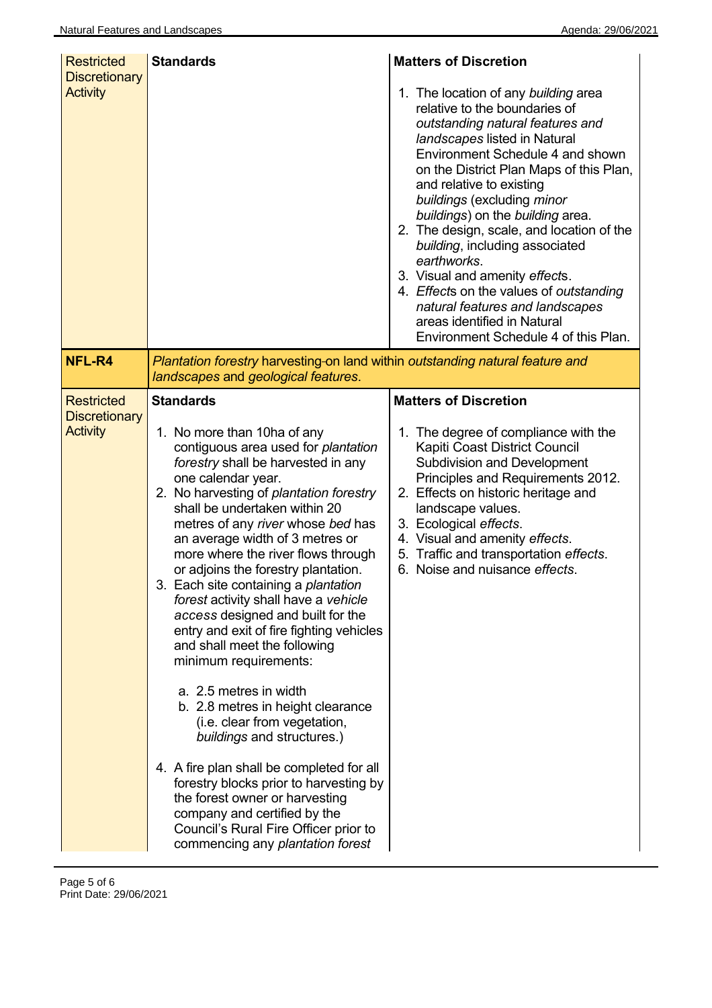| <b>Restricted</b><br><b>Discretionary</b>                    | <b>Standards</b>                                                                                                                                                                                                                                                                                                                                                                                                                                                                                                                                                                                                                                                                                                                                                                                                                                                                                                                                                                 | <b>Matters of Discretion</b>                                                                                                                                                                                                                                                                                                                                                                                                                                                                                                                                                                                |
|--------------------------------------------------------------|----------------------------------------------------------------------------------------------------------------------------------------------------------------------------------------------------------------------------------------------------------------------------------------------------------------------------------------------------------------------------------------------------------------------------------------------------------------------------------------------------------------------------------------------------------------------------------------------------------------------------------------------------------------------------------------------------------------------------------------------------------------------------------------------------------------------------------------------------------------------------------------------------------------------------------------------------------------------------------|-------------------------------------------------------------------------------------------------------------------------------------------------------------------------------------------------------------------------------------------------------------------------------------------------------------------------------------------------------------------------------------------------------------------------------------------------------------------------------------------------------------------------------------------------------------------------------------------------------------|
| <b>Activity</b>                                              |                                                                                                                                                                                                                                                                                                                                                                                                                                                                                                                                                                                                                                                                                                                                                                                                                                                                                                                                                                                  | 1. The location of any building area<br>relative to the boundaries of<br>outstanding natural features and<br>landscapes listed in Natural<br>Environment Schedule 4 and shown<br>on the District Plan Maps of this Plan,<br>and relative to existing<br>buildings (excluding minor<br>buildings) on the building area.<br>2. The design, scale, and location of the<br>building, including associated<br>earthworks.<br>3. Visual and amenity effects.<br>4. Effects on the values of outstanding<br>natural features and landscapes<br>areas identified in Natural<br>Environment Schedule 4 of this Plan. |
| NFL-R4                                                       | Plantation forestry harvesting-on land within outstanding natural feature and<br>landscapes and geological features.                                                                                                                                                                                                                                                                                                                                                                                                                                                                                                                                                                                                                                                                                                                                                                                                                                                             |                                                                                                                                                                                                                                                                                                                                                                                                                                                                                                                                                                                                             |
| <b>Restricted</b><br><b>Discretionary</b><br><b>Activity</b> | <b>Standards</b><br>1. No more than 10ha of any<br>contiguous area used for plantation<br>forestry shall be harvested in any<br>one calendar year.<br>2. No harvesting of plantation forestry<br>shall be undertaken within 20<br>metres of any river whose bed has<br>an average width of 3 metres or<br>more where the river flows through<br>or adjoins the forestry plantation.<br>3. Each site containing a plantation<br>forest activity shall have a vehicle<br>access designed and built for the<br>entry and exit of fire fighting vehicles<br>and shall meet the following<br>minimum requirements:<br>a. 2.5 metres in width<br>b. 2.8 metres in height clearance<br>(i.e. clear from vegetation,<br>buildings and structures.)<br>4. A fire plan shall be completed for all<br>forestry blocks prior to harvesting by<br>the forest owner or harvesting<br>company and certified by the<br>Council's Rural Fire Officer prior to<br>commencing any plantation forest | <b>Matters of Discretion</b><br>1. The degree of compliance with the<br>Kapiti Coast District Council<br><b>Subdivision and Development</b><br>Principles and Requirements 2012.<br>2. Effects on historic heritage and<br>landscape values.<br>3. Ecological effects.<br>4. Visual and amenity effects.<br>5. Traffic and transportation effects.<br>6. Noise and nuisance effects.                                                                                                                                                                                                                        |